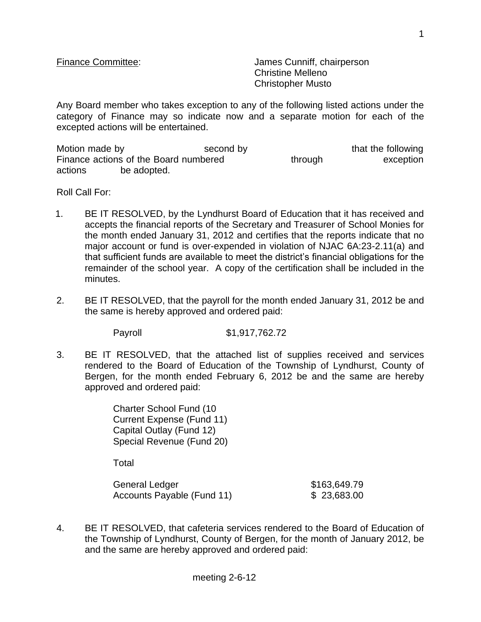Finance Committee: James Cunniff, chairperson Christine Melleno Christopher Musto

Any Board member who takes exception to any of the following listed actions under the category of Finance may so indicate now and a separate motion for each of the excepted actions will be entertained.

Motion made by the second by that the following Finance actions of the Board numbered through through exception actions be adopted.

Roll Call For:

- 1. BE IT RESOLVED, by the Lyndhurst Board of Education that it has received and accepts the financial reports of the Secretary and Treasurer of School Monies for the month ended January 31, 2012 and certifies that the reports indicate that no major account or fund is over-expended in violation of NJAC 6A:23-2.11(a) and that sufficient funds are available to meet the district's financial obligations for the remainder of the school year. A copy of the certification shall be included in the minutes.
- 2. BE IT RESOLVED, that the payroll for the month ended January 31, 2012 be and the same is hereby approved and ordered paid:

Payroll \$1,917,762.72

3. BE IT RESOLVED, that the attached list of supplies received and services rendered to the Board of Education of the Township of Lyndhurst, County of Bergen, for the month ended February 6, 2012 be and the same are hereby approved and ordered paid:

> Charter School Fund (10 Current Expense (Fund 11) Capital Outlay (Fund 12) Special Revenue (Fund 20)

Total

General Ledger \$163,649.79 Accounts Payable (Fund 11) \$ 23,683.00

4. BE IT RESOLVED, that cafeteria services rendered to the Board of Education of the Township of Lyndhurst, County of Bergen, for the month of January 2012, be and the same are hereby approved and ordered paid: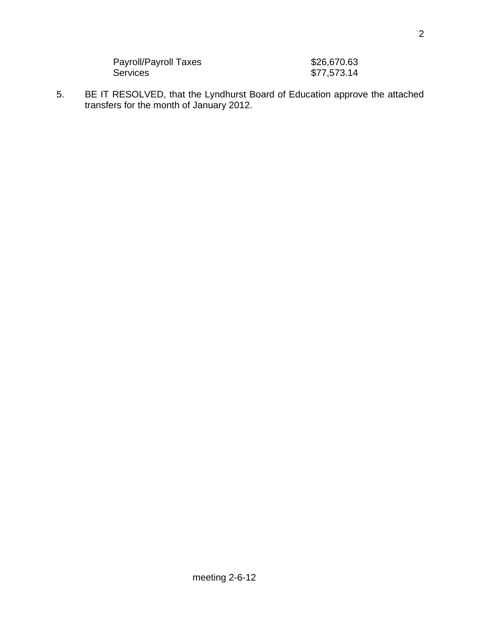| Payroll/Payroll Taxes | \$26,670.63 |
|-----------------------|-------------|
| <b>Services</b>       | \$77,573.14 |

5. BE IT RESOLVED, that the Lyndhurst Board of Education approve the attached transfers for the month of January 2012.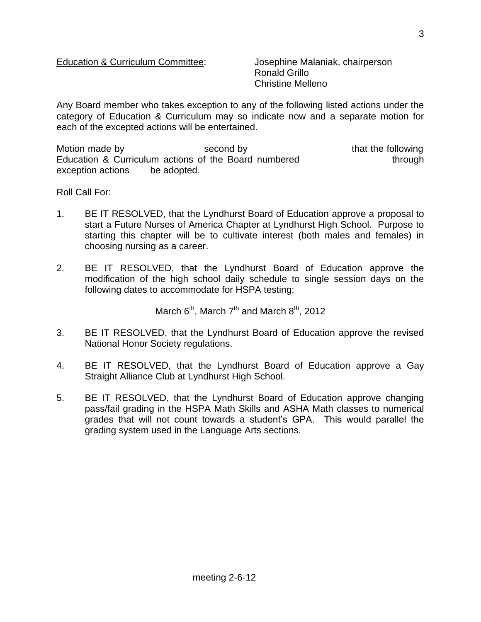Ronald Grillo Christine Melleno

Any Board member who takes exception to any of the following listed actions under the category of Education & Curriculum may so indicate now and a separate motion for each of the excepted actions will be entertained.

Motion made by the second by that the following Education & Curriculum actions of the Board numbered through exception actions be adopted.

Roll Call For:

- 1. BE IT RESOLVED, that the Lyndhurst Board of Education approve a proposal to start a Future Nurses of America Chapter at Lyndhurst High School. Purpose to starting this chapter will be to cultivate interest (both males and females) in choosing nursing as a career.
- 2. BE IT RESOLVED, that the Lyndhurst Board of Education approve the modification of the high school daily schedule to single session days on the following dates to accommodate for HSPA testing:

March  $6<sup>th</sup>$ , March  $7<sup>th</sup>$  and March  $8<sup>th</sup>$ , 2012

- 3. BE IT RESOLVED, that the Lyndhurst Board of Education approve the revised National Honor Society regulations.
- 4. BE IT RESOLVED, that the Lyndhurst Board of Education approve a Gay Straight Alliance Club at Lyndhurst High School.
- 5. BE IT RESOLVED, that the Lyndhurst Board of Education approve changing pass/fail grading in the HSPA Math Skills and ASHA Math classes to numerical grades that will not count towards a student's GPA. This would parallel the grading system used in the Language Arts sections.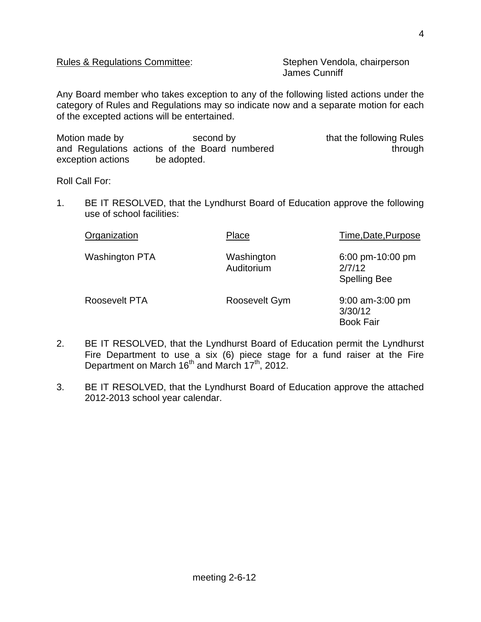### Rules & Regulations Committee: Stephen Vendola, chairperson

James Cunniff

Any Board member who takes exception to any of the following listed actions under the category of Rules and Regulations may so indicate now and a separate motion for each of the excepted actions will be entertained.

Motion made by second by second by that the following Rules and Regulations actions of the Board numbered through through exception actions be adopted.

Roll Call For:

1. BE IT RESOLVED, that the Lyndhurst Board of Education approve the following use of school facilities:

| Organization          | Place                    | Time, Date, Purpose                                          |
|-----------------------|--------------------------|--------------------------------------------------------------|
| <b>Washington PTA</b> | Washington<br>Auditorium | $6:00 \text{ pm}$ -10:00 pm<br>2/7/12<br><b>Spelling Bee</b> |
| Roosevelt PTA         | Roosevelt Gym            | 9:00 am-3:00 pm<br>3/30/12<br><b>Book Fair</b>               |

- 2. BE IT RESOLVED, that the Lyndhurst Board of Education permit the Lyndhurst Fire Department to use a six (6) piece stage for a fund raiser at the Fire Department on March 16<sup>th</sup> and March 17<sup>th</sup>, 2012.
- 3. BE IT RESOLVED, that the Lyndhurst Board of Education approve the attached 2012-2013 school year calendar.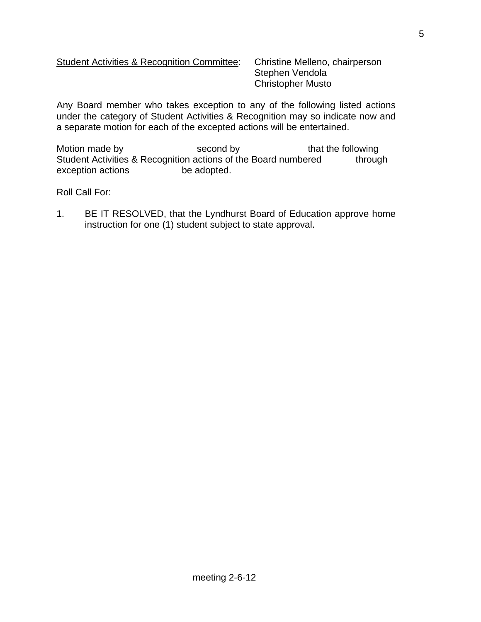# Student Activities & Recognition Committee: Christine Melleno, chairperson

Stephen Vendola Christopher Musto

Any Board member who takes exception to any of the following listed actions under the category of Student Activities & Recognition may so indicate now and a separate motion for each of the excepted actions will be entertained.

Motion made by second by that the following Student Activities & Recognition actions of the Board numbered through exception actions be adopted.

Roll Call For:

1. BE IT RESOLVED, that the Lyndhurst Board of Education approve home instruction for one (1) student subject to state approval.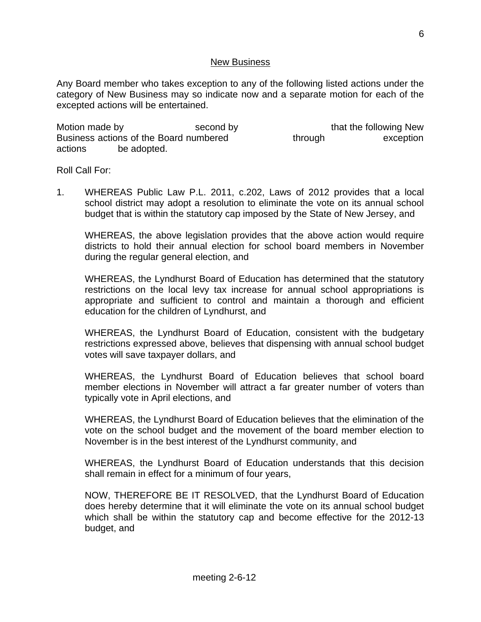#### New Business

Any Board member who takes exception to any of the following listed actions under the category of New Business may so indicate now and a separate motion for each of the excepted actions will be entertained.

Motion made by second by second by that the following New Business actions of the Board numbered through through exception actions be adopted.

Roll Call For:

1. WHEREAS Public Law P.L. 2011, c.202, Laws of 2012 provides that a local school district may adopt a resolution to eliminate the vote on its annual school budget that is within the statutory cap imposed by the State of New Jersey, and

WHEREAS, the above legislation provides that the above action would require districts to hold their annual election for school board members in November during the regular general election, and

WHEREAS, the Lyndhurst Board of Education has determined that the statutory restrictions on the local levy tax increase for annual school appropriations is appropriate and sufficient to control and maintain a thorough and efficient education for the children of Lyndhurst, and

WHEREAS, the Lyndhurst Board of Education, consistent with the budgetary restrictions expressed above, believes that dispensing with annual school budget votes will save taxpayer dollars, and

WHEREAS, the Lyndhurst Board of Education believes that school board member elections in November will attract a far greater number of voters than typically vote in April elections, and

WHEREAS, the Lyndhurst Board of Education believes that the elimination of the vote on the school budget and the movement of the board member election to November is in the best interest of the Lyndhurst community, and

WHEREAS, the Lyndhurst Board of Education understands that this decision shall remain in effect for a minimum of four years,

NOW, THEREFORE BE IT RESOLVED, that the Lyndhurst Board of Education does hereby determine that it will eliminate the vote on its annual school budget which shall be within the statutory cap and become effective for the 2012-13 budget, and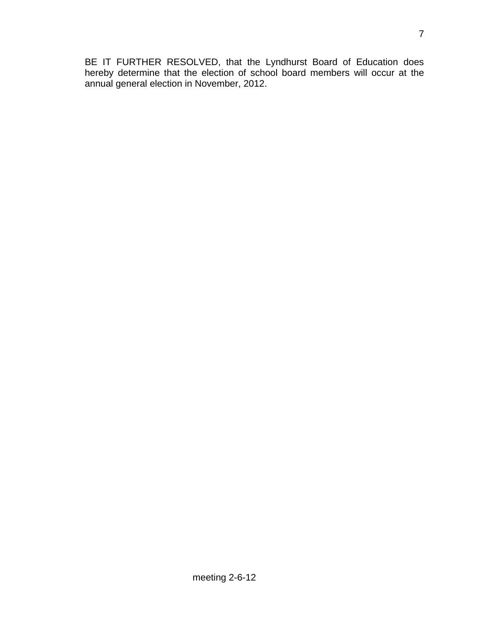BE IT FURTHER RESOLVED, that the Lyndhurst Board of Education does hereby determine that the election of school board members will occur at the annual general election in November, 2012.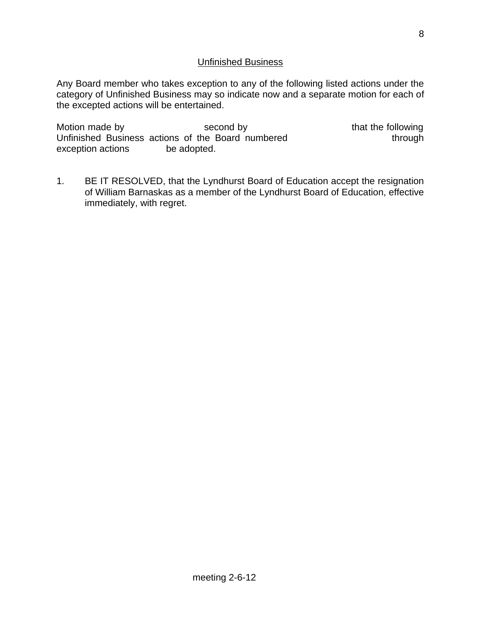## Unfinished Business

Any Board member who takes exception to any of the following listed actions under the category of Unfinished Business may so indicate now and a separate motion for each of the excepted actions will be entertained.

Motion made by second by second by that the following Unfinished Business actions of the Board numbered through exception actions be adopted.

1. BE IT RESOLVED, that the Lyndhurst Board of Education accept the resignation of William Barnaskas as a member of the Lyndhurst Board of Education, effective immediately, with regret.